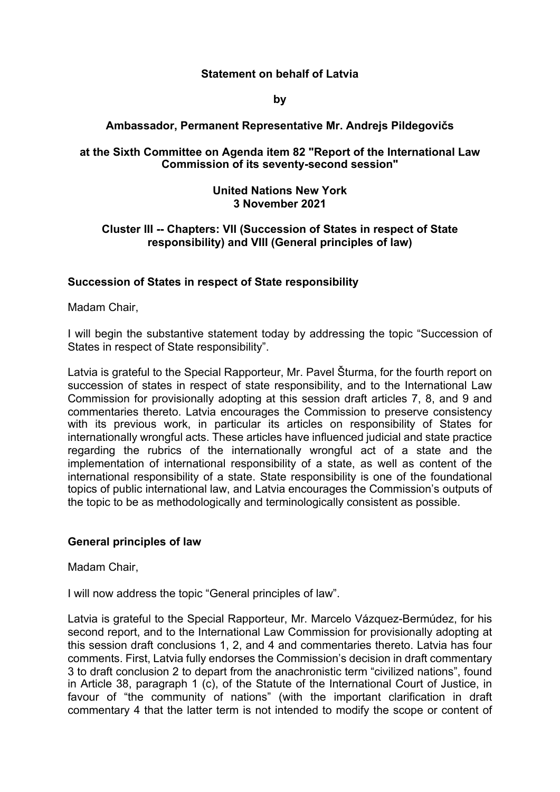# **Statement on behalf of Latvia**

**by**

# **Ambassador, Permanent Representative Mr. Andrejs Pildegovičs**

## **at the Sixth Committee on Agenda item 82 "Report of the International Law Commission of its seventy-second session"**

#### **United Nations New York 3 November 2021**

## **Cluster III -- Chapters: VII (Succession of States in respect of State responsibility) and VIII (General principles of law)**

### **Succession of States in respect of State responsibility**

Madam Chair,

I will begin the substantive statement today by addressing the topic "Succession of States in respect of State responsibility".

Latvia is grateful to the Special Rapporteur, Mr. Pavel Šturma, for the fourth report on succession of states in respect of state responsibility, and to the International Law Commission for provisionally adopting at this session draft articles 7, 8, and 9 and commentaries thereto. Latvia encourages the Commission to preserve consistency with its previous work, in particular its articles on responsibility of States for internationally wrongful acts. These articles have influenced judicial and state practice regarding the rubrics of the internationally wrongful act of a state and the implementation of international responsibility of a state, as well as content of the international responsibility of a state. State responsibility is one of the foundational topics of public international law, and Latvia encourages the Commission's outputs of the topic to be as methodologically and terminologically consistent as possible.

#### **General principles of law**

Madam Chair,

I will now address the topic "General principles of law".

Latvia is grateful to the Special Rapporteur, Mr. Marcelo Vázquez-Bermúdez, for his second report, and to the International Law Commission for provisionally adopting at this session draft conclusions 1, 2, and 4 and commentaries thereto. Latvia has four comments. First, Latvia fully endorses the Commission's decision in draft commentary 3 to draft conclusion 2 to depart from the anachronistic term "civilized nations", found in Article 38, paragraph 1 (c), of the Statute of the International Court of Justice, in favour of "the community of nations" (with the important clarification in draft commentary 4 that the latter term is not intended to modify the scope or content of